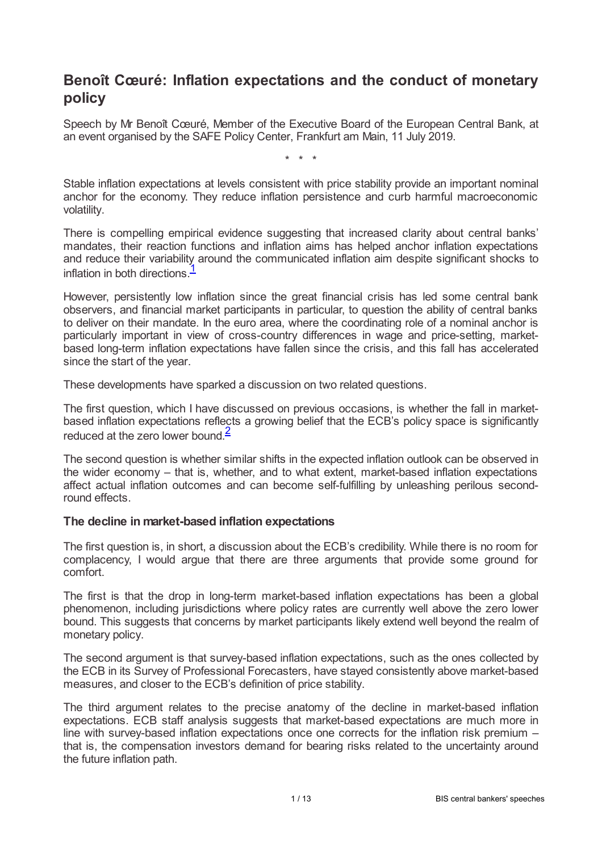# **Benoît Cœuré: Inflation expectations and the conduct of monetary policy**

Speech by Mr Benoît Cœuré, Member of the Executive Board of the European Central Bank, at an event organised by the SAFE Policy Center, Frankfurt am Main, 11 July 2019.

\* \* \*

Stable inflation expectations at levels consistent with price stability provide an important nominal anchor for the economy. They reduce inflation persistence and curb harmful macroeconomic volatility.

There is compelling empirical evidence suggesting that increased clarity about central banks' mandates, their reaction functions and inflation aims has helped anchor inflation expectations and reduce their variability around the communicated inflation aim despite significant shocks to inflation in both directions.<sup>[1](#page-11-0)</sup>

<span id="page-0-0"></span>However, persistently low inflation since the great financial crisis has led some central bank observers, and financial market participants in particular, to question the ability of central banks to deliver on their mandate. In the euro area, where the coordinating role of a nominal anchor is particularly important in view of cross-country differences in wage and price-setting, marketbased long-term inflation expectations have fallen since the crisis, and this fall has accelerated since the start of the year.

These developments have sparked a discussion on two related questions.

The first question, which I have discussed on previous occasions, is whether the fall in marketbased inflation expectations reflects a growing belief that the ECB's policy space is significantly reduced at the zero lower bound. $\frac{2}{3}$  $\frac{2}{3}$  $\frac{2}{3}$ 

<span id="page-0-1"></span>The second question is whether similar shifts in the expected inflation outlook can be observed in the wider economy – that is, whether, and to what extent, market-based inflation expectations affect actual inflation outcomes and can become self-fulfilling by unleashing perilous secondround effects.

### **The decline in market-based inflation expectations**

The first question is, in short, a discussion about the ECB's credibility. While there is no room for complacency, I would argue that there are three arguments that provide some ground for comfort.

The first is that the drop in long-term market-based inflation expectations has been a global phenomenon, including jurisdictions where policy rates are currently well above the zero lower bound. This suggests that concerns by market participants likely extend well beyond the realm of monetary policy.

The second argument is that survey-based inflation expectations, such as the ones collected by the ECB in its Survey of Professional Forecasters, have stayed consistently above market-based measures, and closer to the ECB's definition of price stability.

The third argument relates to the precise anatomy of the decline in market-based inflation expectations. ECB staff analysis suggests that market-based expectations are much more in line with survey-based inflation expectations once one corrects for the inflation risk premium – that is, the compensation investors demand for bearing risks related to the uncertainty around the future inflation path.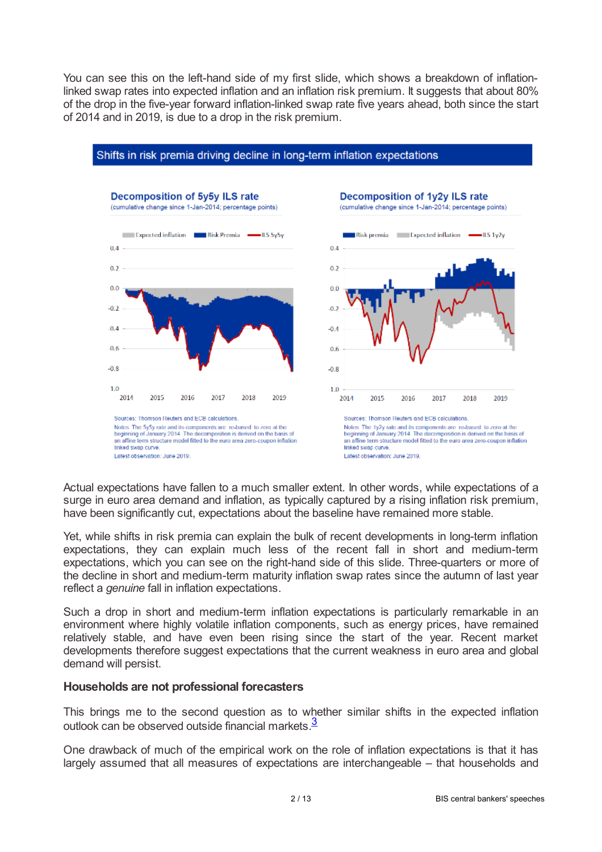You can see this on the left-hand side of my first slide, which shows a breakdown of inflationlinked swap rates into expected inflation and an inflation risk premium. It suggests that about 80% of the drop in the five-year forward inflation-linked swap rate five years ahead, both since the start of 2014 and in 2019, is due to a drop in the risk premium.



#### Shifts in risk premia driving decline in long-term inflation expectations

Actual expectations have fallen to a much smaller extent. In other words, while expectations of a surge in euro area demand and inflation, as typically captured by a rising inflation risk premium, have been significantly cut, expectations about the baseline have remained more stable.

Yet, while shifts in risk premia can explain the bulk of recent developments in long-term inflation expectations, they can explain much less of the recent fall in short and medium-term expectations, which you can see on the right-hand side of this slide. Three-quarters or more of the decline in short and medium-term maturity inflation swap rates since the autumn of last year reflect a *genuine* fall in inflation expectations.

Such a drop in short and medium-term inflation expectations is particularly remarkable in an environment where highly volatile inflation components, such as energy prices, have remained relatively stable, and have even been rising since the start of the year. Recent market developments therefore suggest expectations that the current weakness in euro area and global demand will persist.

### **Households are not professional forecasters**

<span id="page-1-0"></span>This brings me to the second question as to whether similar shifts in the expected inflation outlook can be observed outside financial markets [3](#page-11-2)

One drawback of much of the empirical work on the role of inflation expectations is that it has largely assumed that all measures of expectations are interchangeable – that households and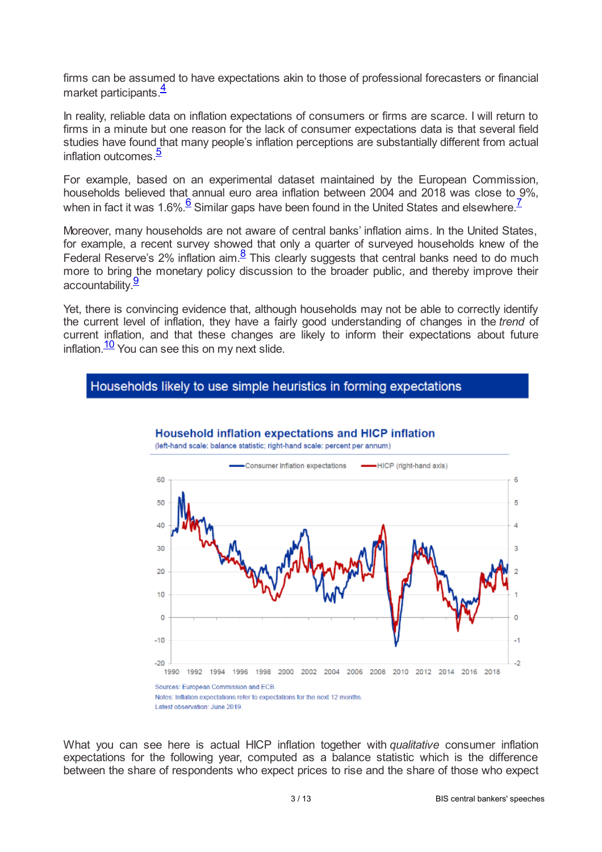<span id="page-2-0"></span>firms can be assumed to have expectations akin to those of professional forecasters or financial market participants.<sup>[4](#page-11-3)</sup>

In reality, reliable data on inflation expectations of consumers or firms are scarce. I will return to firms in a minute but one reason for the lack of consumer expectations data is that several field studies have found that many people's inflation perceptions are substantially different from actual inflation outcomes.<sup>[5](#page-11-4)</sup>

<span id="page-2-1"></span>For example, based on an experimental dataset maintained by the European Commission, households believed that annual euro area inflation between 2004 and 2018 was close to 9%, when in fact it was 1.[6](#page-11-5)%. $\frac{6}{5}$  Similar gaps have been found in the United States and elsewhere.<sup>[7](#page-11-6)</sup>

<span id="page-2-4"></span><span id="page-2-2"></span>Moreover, many households are not aware of central banks' inflation aims. In the United States, for example, a recent survey showed that only a quarter of surveyed households knew of the Federal Reserve's 2% inflation aim. $\frac{8}{5}$  $\frac{8}{5}$  $\frac{8}{5}$  This clearly suggests that central banks need to do much more to bring the monetary policy discussion to the broader public, and thereby improve their accountability.<sup>[9](#page-12-1)</sup>

<span id="page-2-5"></span>Yet, there is convincing evidence that, although households may not be able to correctly identify the current level of inflation, they have a fairly good understanding of changes in the *trend* of current inflation, and that these changes are likely to inform their expectations about future inflation. $\frac{10}{10}$  $\frac{10}{10}$  $\frac{10}{10}$  You can see this on my next slide.

# <span id="page-2-6"></span>Households likely to use simple heuristics in forming expectations



<span id="page-2-3"></span>Household inflation expectations and HICP inflation

What you can see here is actual HICP inflation together with *qualitative* consumer inflation expectations for the following year, computed as a balance statistic which is the difference between the share of respondents who expect prices to rise and the share of those who expect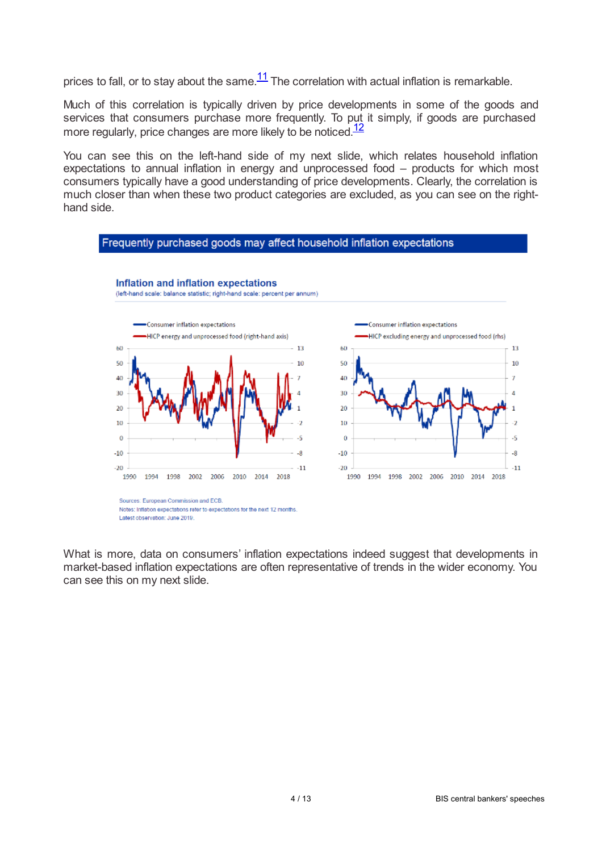<span id="page-3-0"></span>prices to fall, or to stay about the same. $\frac{11}{1}$  $\frac{11}{1}$  $\frac{11}{1}$  The correlation with actual inflation is remarkable.

Much of this correlation is typically driven by price developments in some of the goods and services that consumers purchase more frequently. To put it simply, if goods are purchased more regularly, price changes are more likely to be noticed.<sup>[12](#page-12-4)</sup>

You can see this on the left-hand side of my next slide, which relates household inflation expectations to annual inflation in energy and unprocessed food – products for which most consumers typically have a good understanding of price developments. Clearly, the correlation is much closer than when these two product categories are excluded, as you can see on the righthand side.

<span id="page-3-1"></span>

What is more, data on consumers' inflation expectations indeed suggest that developments in market-based inflation expectations are often representative of trends in the wider economy. You can see this on my next slide.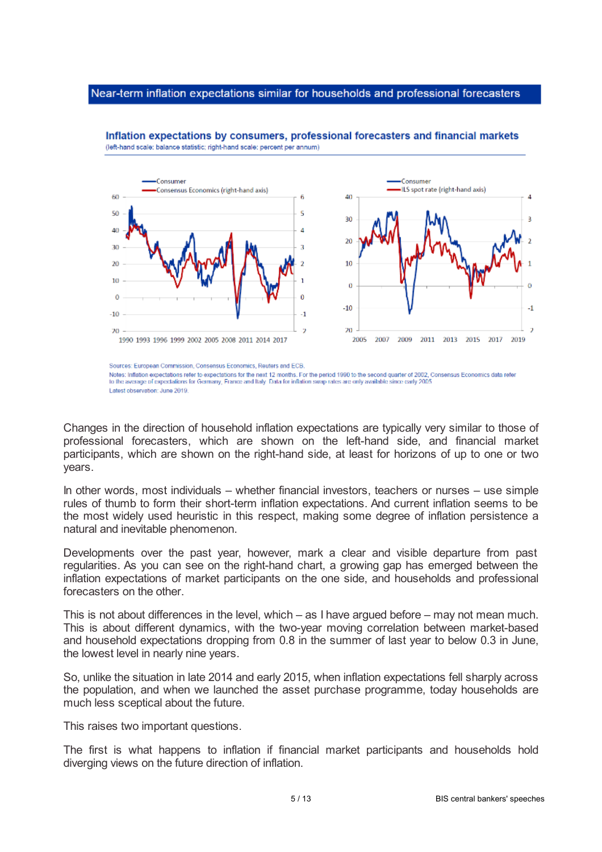#### Near-term inflation expectations similar for households and professional forecasters



Inflation expectations by consumers, professional forecasters and financial markets (left-hand scale: balance statistic; right-hand scale: percent per annum)

Changes in the direction of household inflation expectations are typically very similar to those of professional forecasters, which are shown on the left-hand side, and financial market participants, which are shown on the right-hand side, at least for horizons of up to one or two years.

In other words, most individuals – whether financial investors, teachers or nurses – use simple rules of thumb to form their short-term inflation expectations. And current inflation seems to be the most widely used heuristic in this respect, making some degree of inflation persistence a natural and inevitable phenomenon.

Developments over the past year, however, mark a clear and visible departure from past regularities. As you can see on the right-hand chart, a growing gap has emerged between the inflation expectations of market participants on the one side, and households and professional forecasters on the other.

This is not about differences in the level, which – as I have argued before – may not mean much. This is about different dynamics, with the two-year moving correlation between market-based and household expectations dropping from 0.8 in the summer of last year to below 0.3 in June, the lowest level in nearly nine years.

So, unlike the situation in late 2014 and early 2015, when inflation expectations fell sharply across the population, and when we launched the asset purchase programme, today households are much less sceptical about the future.

This raises two important questions.

The first is what happens to inflation if financial market participants and households hold diverging views on the future direction of inflation.

Sources: European Commission, Consensus Economics, Reuters and ECB.

Notes: Inflation expectations refer to expectations for the next 12 months. For the period 1990 to the second quarter of 2002, Consensus Economics data refer<br>to the average of expectations for Germany, France and Italy. Da Latest observation: June 2019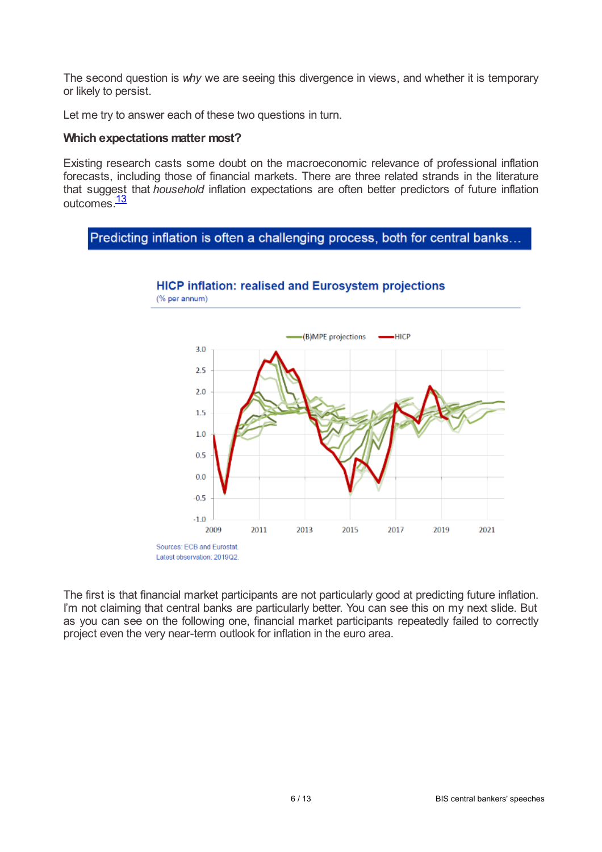The second question is *why* we are seeing this divergence in views, and whether it is temporary or likely to persist.

Let me try to answer each of these two questions in turn.

#### **Which expectations matter most?**

Existing research casts some doubt on the macroeconomic relevance of professional inflation forecasts, including those of financial markets. There are three related strands in the literature that suggest that *household* inflation expectations are often better predictors of future inflation outcomes.<sup>[13](#page-12-5)</sup>

# <span id="page-5-0"></span>Predicting inflation is often a challenging process, both for central banks...



**HICP inflation: realised and Eurosystem projections** 

The first is that financial market participants are not particularly good at predicting future inflation. I'm not claiming that central banks are particularly better. You can see this on my next slide. But as you can see on the following one, financial market participants repeatedly failed to correctly project even the very near-term outlook for inflation in the euro area.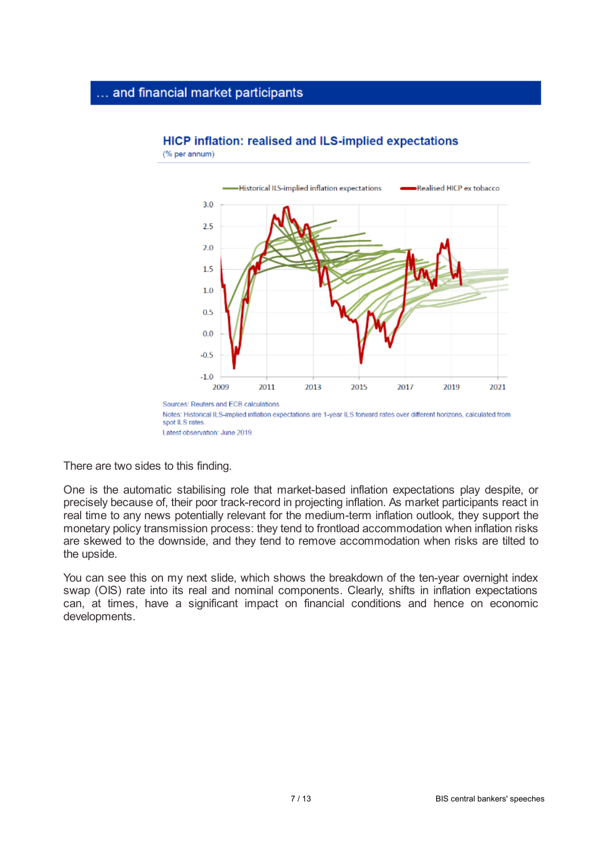# ... and financial market participants

(% per annum)



# **HICP inflation: realised and ILS-implied expectations**

There are two sides to this finding.

One is the automatic stabilising role that market-based inflation expectations play despite, or precisely because of, their poor track-record in projecting inflation. As market participants react in real time to any news potentially relevant for the medium-term inflation outlook, they support the monetary policy transmission process: they tend to frontload accommodation when inflation risks are skewed to the downside, and they tend to remove accommodation when risks are tilted to the upside.

You can see this on my next slide, which shows the breakdown of the ten-year overnight index swap (OIS) rate into its real and nominal components. Clearly, shifts in inflation expectations can, at times, have a significant impact on financial conditions and hence on economic developments.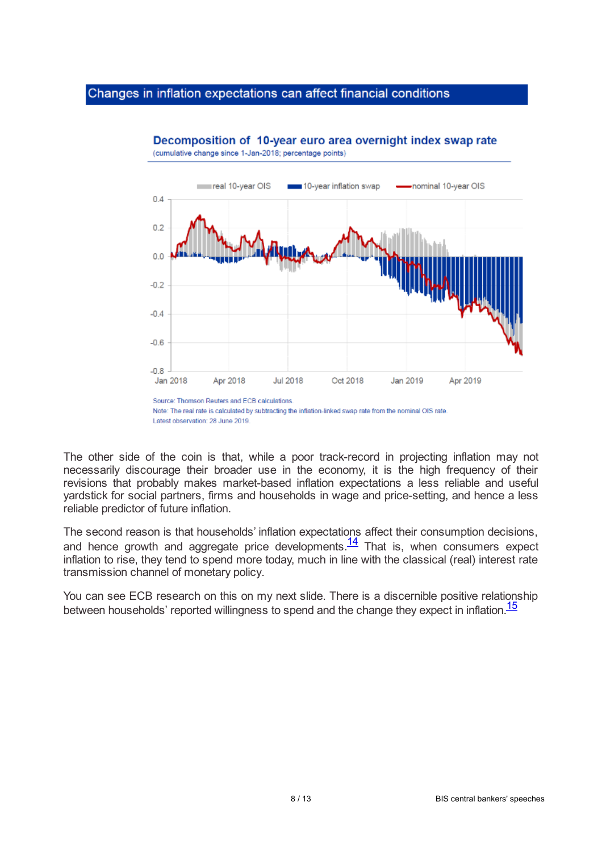### Changes in inflation expectations can affect financial conditions



Decomposition of 10-year euro area overnight index swap rate (cumulative change since 1-Jan-2018; percentage points)

The other side of the coin is that, while a poor track-record in projecting inflation may not necessarily discourage their broader use in the economy, it is the high frequency of their revisions that probably makes market-based inflation expectations a less reliable and useful yardstick for social partners, firms and households in wage and price-setting, and hence a less reliable predictor of future inflation.

<span id="page-7-0"></span>The second reason is that households' inflation expectations affect their consumption decisions, and hence growth and aggregate price developments. $\frac{14}{1}$  $\frac{14}{1}$  $\frac{14}{1}$  That is, when consumers expect inflation to rise, they tend to spend more today, much in line with the classical (real) interest rate transmission channel of monetary policy.

<span id="page-7-1"></span>You can see ECB research on this on my next slide. There is a discernible positive relationship between households' reported willingness to spend and the change they expect in inflation.<sup>[15](#page-12-7)</sup>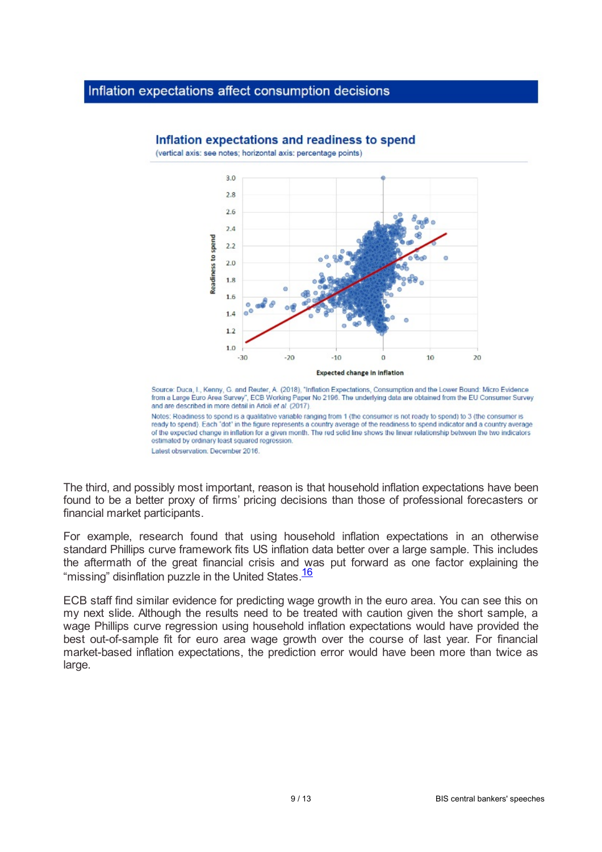### Inflation expectations affect consumption decisions



Inflation expectations and readiness to spend

(vertical axis: see notes: horizontal axis: percentage points)

Source: Duca, I., Kenny, G. and Reuter, A. (2018), "Inflation Expectations, Consumption and the Lower Bound: Micro Evidence from a Large Euro Area Survey", ECB Working Paper No 2196. The underlying data are obtained from the EU Consumer Survey and are described in more detail in Arioli et al. (2017). Notes: Readiness to spend is a qualitative variable ranging from 1 (the consumer is not ready to spend) to 3 (the consumer is

<span id="page-8-0"></span>ready to spend). Each "dot" in the figure represents a country average of the readiness to spend indicator and a country average of the expected change in inflation for a given month. The red solid line shows the linear relationship between the two indicators estimated by ordinary least squared regression. Latest observation: December 2016.

The third, and possibly most important, reason is that household inflation expectations have been found to be a better proxy of firms' pricing decisions than those of professional forecasters or financial market participants.

For example, research found that using household inflation expectations in an otherwise standard Phillips curve framework fits US inflation data better over a large sample. This includes the aftermath of the great financial crisis and was put forward as one factor explaining the "missing" disinflation puzzle in the United States.<sup>[16](#page-12-8)</sup>

ECB staff find similar evidence for predicting wage growth in the euro area. You can see this on my next slide. Although the results need to be treated with caution given the short sample, a wage Phillips curve regression using household inflation expectations would have provided the best out-of-sample fit for euro area wage growth over the course of last year. For financial market-based inflation expectations, the prediction error would have been more than twice as large.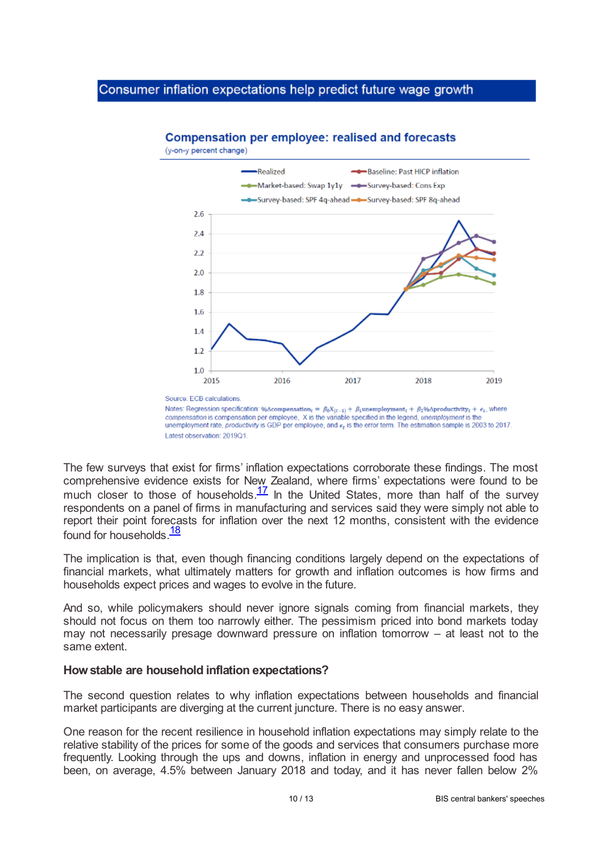# Consumer inflation expectations help predict future wage growth



# **Compensation per employee: realised and forecasts**

The few surveys that exist for firms' inflation expectations corroborate these findings. The most comprehensive evidence exists for New Zealand, where firms' expectations were found to be much closer to those of households. $\frac{17}{1}$  $\frac{17}{1}$  $\frac{17}{1}$  In the United States, more than half of the survey respondents on a panel of firms in manufacturing and services said they were simply not able to report their point forecasts for inflation over the next 12 months, consistent with the evidence found for households.<sup>[18](#page-12-10)</sup>

<span id="page-9-1"></span>The implication is that, even though financing conditions largely depend on the expectations of financial markets, what ultimately matters for growth and inflation outcomes is how firms and households expect prices and wages to evolve in the future.

And so, while policymakers should never ignore signals coming from financial markets, they should not focus on them too narrowly either. The pessimism priced into bond markets today may not necessarily presage downward pressure on inflation tomorrow – at least not to the same extent.

### **Howstable are household inflation expectations?**

The second question relates to why inflation expectations between households and financial market participants are diverging at the current juncture. There is no easy answer.

One reason for the recent resilience in household inflation expectations may simply relate to the relative stability of the prices for some of the goods and services that consumers purchase more frequently. Looking through the ups and downs, inflation in energy and unprocessed food has been, on average, 4.5% between January 2018 and today, and it has never fallen below 2%

<span id="page-9-0"></span>Notes: Regression specification: %Acompensation<sub>c</sub> =  $\beta_0 X_{(t-1)} + \beta_1$ unemployment<sub>c</sub> +  $\beta_2$ %Aproductivity<sub>t</sub> +  $\epsilon_t$ , where compensation is compensation per employee, X is the variable specified in the legend, unemployment is the unemployment rate, productivity is GDP per employee, and  $\epsilon_t$  is the error term. The estimation sample is 2003 to 2017. Latest observation: 2019O1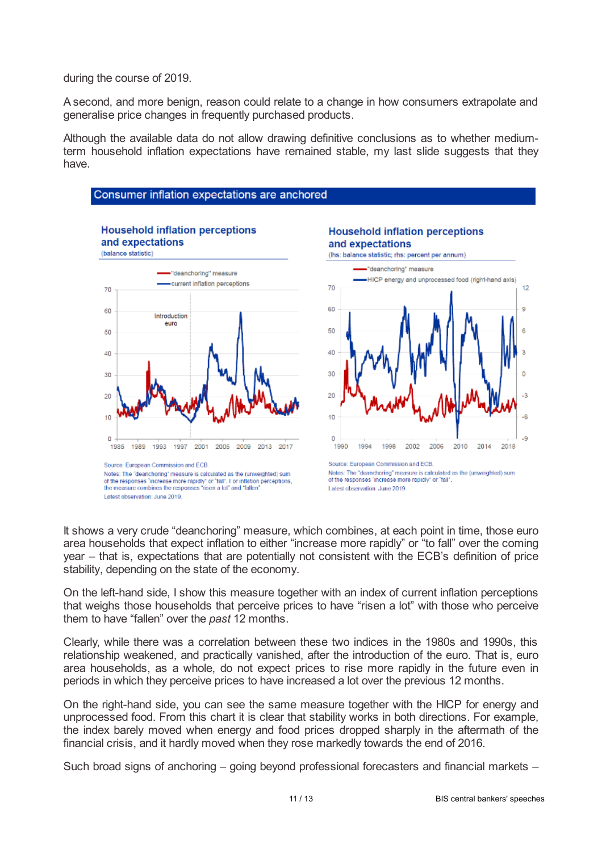during the course of 2019.

A second, and more benign, reason could relate to a change in how consumers extrapolate and generalise price changes in frequently purchased products.

Although the available data do not allow drawing definitive conclusions as to whether mediumterm household inflation expectations have remained stable, my last slide suggests that they have.



It shows a very crude "deanchoring" measure, which combines, at each point in time, those euro area households that expect inflation to either "increase more rapidly" or "to fall" over the coming year – that is, expectations that are potentially not consistent with the ECB's definition of price stability, depending on the state of the economy.

On the left-hand side, I show this measure together with an index of current inflation perceptions that weighs those households that perceive prices to have "risen a lot" with those who perceive them to have "fallen" over the *past* 12 months.

Clearly, while there was a correlation between these two indices in the 1980s and 1990s, this relationship weakened, and practically vanished, after the introduction of the euro. That is, euro area households, as a whole, do not expect prices to rise more rapidly in the future even in periods in which they perceive prices to have increased a lot over the previous 12 months.

On the right-hand side, you can see the same measure together with the HICP for energy and unprocessed food. From this chart it is clear that stability works in both directions. For example, the index barely moved when energy and food prices dropped sharply in the aftermath of the financial crisis, and it hardly moved when they rose markedly towards the end of 2016.

Such broad signs of anchoring – going beyond professional forecasters and financial markets –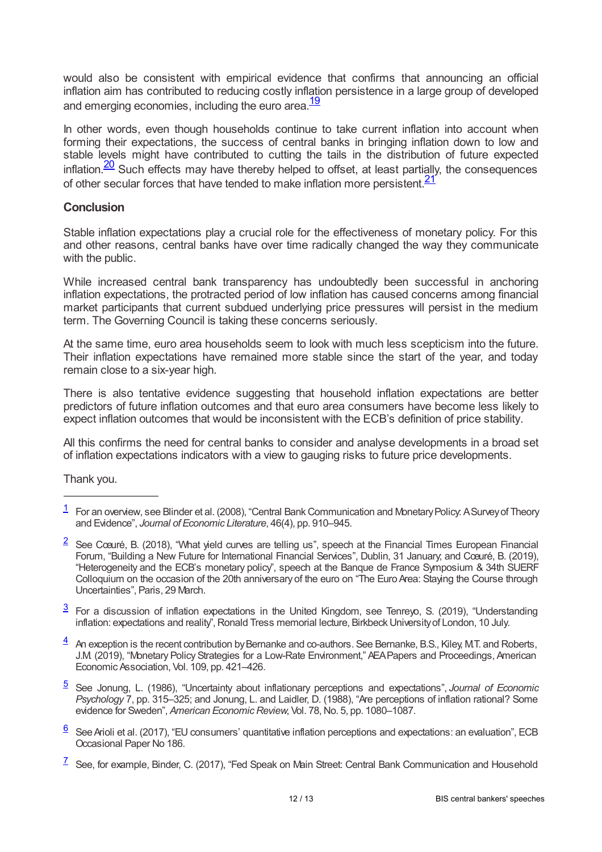would also be consistent with empirical evidence that confirms that announcing an official inflation aim has contributed to reducing costly inflation persistence in a large group of developed and emerging economies, including the euro area.<sup>[19](#page-12-11)</sup>

<span id="page-11-7"></span>In other words, even though households continue to take current inflation into account when forming their expectations, the success of central banks in bringing inflation down to low and stable levels might have contributed to cutting the tails in the distribution of future expected  $inflation.  $\frac{20}{20}$  Such effects may have thereby helped to offset, at least partially, the consequences$  $inflation.  $\frac{20}{20}$  Such effects may have thereby helped to offset, at least partially, the consequences$  $inflation.  $\frac{20}{20}$  Such effects may have thereby helped to offset, at least partially, the consequences$ of other secular forces that have tended to make inflation more persistent.<sup>[21](#page-12-13)</sup>

### <span id="page-11-9"></span><span id="page-11-8"></span>**Conclusion**

Stable inflation expectations play a crucial role for the effectiveness of monetary policy. For this and other reasons, central banks have over time radically changed the way they communicate with the public.

While increased central bank transparency has undoubtedly been successful in anchoring inflation expectations, the protracted period of low inflation has caused concerns among financial market participants that current subdued underlying price pressures will persist in the medium term. The Governing Council is taking these concerns seriously.

At the same time, euro area households seem to look with much less scepticism into the future. Their inflation expectations have remained more stable since the start of the year, and today remain close to a six-year high.

There is also tentative evidence suggesting that household inflation expectations are better predictors of future inflation outcomes and that euro area consumers have become less likely to expect inflation outcomes that would be inconsistent with the ECB's definition of price stability.

All this confirms the need for central banks to consider and analyse developments in a broad set of inflation expectations indicators with a view to gauging risks to future price developments.

Thank you.

- <span id="page-11-1"></span>See Cœuré, B. (2018), "What yield curves are telling us", speech at the Financial Times European Financial Forum, "Building a New Future for International Financial Services", Dublin, 31 January; and Cœuré, B. (2019), "Heterogeneity and the ECB's monetary policy", speech at the Banque de France Symposium & 34th SUERF Colloquium on the occasion of the 20th anniversary of the euro on "The Euro Area: Staying the Course through Uncertainties", Paris, 29 March. [2](#page-0-1)
- <span id="page-11-2"></span> $\frac{3}{2}$  $\frac{3}{2}$  $\frac{3}{2}$  For a discussion of inflation expectations in the United Kingdom, see Tenreyo, S. (2019), "Understanding inflation: expectations and reality", Ronald Tress memorial lecture, Birkbeck University of London, 10 July.
- <span id="page-11-3"></span> $\frac{4}{1}$  $\frac{4}{1}$  $\frac{4}{1}$  An exception is the recent contribution by Bernanke and co-authors. See Bernanke, B.S., Kiley, M.T. and Roberts, J.M. (2019), "Monetary Policy Strategies for a Low-Rate Environment," AEAPapers and Proceedings, American Economic Association, Vol. 109, pp. 421–426.
- <span id="page-11-4"></span>See Jonung, L. (1986), "Uncertainty about inflationary perceptions and expectations", *Journal of Economic* [5](#page-2-1) *Psychology* 7, pp. 315–325; and Jonung, L. and Laidler, D. (1988), "Are perceptions of inflation rational? Some evidence for Sweden", *American Economic Review*, Vol. 78, No. 5, pp. 1080-1087.
- <span id="page-11-5"></span> $6$  See Arioli et al. (2017), "EU consumers' quantitative inflation perceptions and expectations: an evaluation", ECB Occasional Paper No 186.
- <span id="page-11-6"></span> $\frac{7}{1}$  $\frac{7}{1}$  $\frac{7}{1}$  See, for example, Binder, C. (2017), "Fed Speak on Main Street: Central Bank Communication and Household

<span id="page-11-0"></span> $1$  For an overview, see Blinder et al. (2008), "Central Bank Communication and Monetary Policy. A Survey of Theory and Evidence", *Journal of Economic Literature*, 46(4), pp. 910–945.